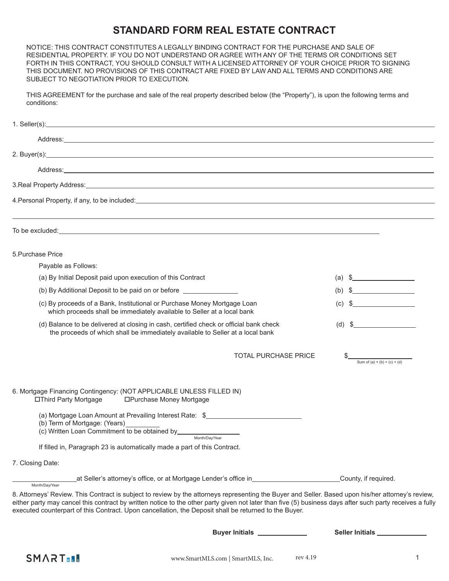## **STANDARD FORM REAL ESTATE CONTRACT**

NOTICE: THIS CONTRACT CONSTITUTES A LEGALLY BINDING CONTRACT FOR THE PURCHASE AND SALE OF RESIDENTIAL PROPERTY. IF YOU DO NOT UNDERSTAND OR AGREE WITH ANY OF THE TERMS OR CONDITIONS SET FORTH IN THIS CONTRACT, YOU SHOULD CONSULT WITH A LICENSED ATTORNEY OF YOUR CHOICE PRIOR TO SIGNING THIS DOCUMENT. NO PROVISIONS OF THIS CONTRACT ARE FIXED BY LAW AND ALL TERMS AND CONDITIONS ARE SUBJECT TO NEGOTIATION PRIOR TO EXECUTION.

THIS AGREEMENT for the purchase and sale of the real property described below (the "Property"), is upon the following terms and conditions:

| 4. Personal Property, if any, to be included: example and a series of the series of the series of the series of the series of the series of the series of the series of the series of the series of the series of the series o                                                                                                                                                                                          |                                                                                                                                                                                                                                                                                                                        |
|-------------------------------------------------------------------------------------------------------------------------------------------------------------------------------------------------------------------------------------------------------------------------------------------------------------------------------------------------------------------------------------------------------------------------|------------------------------------------------------------------------------------------------------------------------------------------------------------------------------------------------------------------------------------------------------------------------------------------------------------------------|
| To be excluded: <u>the contract of the contract of the contract of the contract of the contract of the contract of the contract of the contract of the contract of the contract of the contract of the contract of the contract </u>                                                                                                                                                                                    |                                                                                                                                                                                                                                                                                                                        |
| 5. Purchase Price                                                                                                                                                                                                                                                                                                                                                                                                       |                                                                                                                                                                                                                                                                                                                        |
| Payable as Follows:                                                                                                                                                                                                                                                                                                                                                                                                     |                                                                                                                                                                                                                                                                                                                        |
| (a) By Initial Deposit paid upon execution of this Contract                                                                                                                                                                                                                                                                                                                                                             | (a) $\frac{1}{2}$ $\frac{1}{2}$ $\frac{1}{2}$ $\frac{1}{2}$ $\frac{1}{2}$ $\frac{1}{2}$ $\frac{1}{2}$ $\frac{1}{2}$ $\frac{1}{2}$ $\frac{1}{2}$ $\frac{1}{2}$ $\frac{1}{2}$ $\frac{1}{2}$ $\frac{1}{2}$ $\frac{1}{2}$ $\frac{1}{2}$ $\frac{1}{2}$ $\frac{1}{2}$ $\frac{1}{2}$ $\frac{1}{2}$ $\frac{1}{2}$ $\frac{1}{2$ |
| (b) By Additional Deposit to be paid on or before ______________________________                                                                                                                                                                                                                                                                                                                                        | (b) $\frac{1}{2}$ $\frac{1}{2}$ $\frac{1}{2}$ $\frac{1}{2}$ $\frac{1}{2}$ $\frac{1}{2}$ $\frac{1}{2}$ $\frac{1}{2}$ $\frac{1}{2}$ $\frac{1}{2}$ $\frac{1}{2}$ $\frac{1}{2}$ $\frac{1}{2}$ $\frac{1}{2}$ $\frac{1}{2}$ $\frac{1}{2}$ $\frac{1}{2}$ $\frac{1}{2}$ $\frac{1}{2}$ $\frac{1}{2}$ $\frac{1}{2}$ $\frac{1}{2$ |
| (c) By proceeds of a Bank, Institutional or Purchase Money Mortgage Loan<br>which proceeds shall be immediately available to Seller at a local bank                                                                                                                                                                                                                                                                     |                                                                                                                                                                                                                                                                                                                        |
| (d) Balance to be delivered at closing in cash, certified check or official bank check<br>the proceeds of which shall be immediately available to Seller at a local bank                                                                                                                                                                                                                                                | $(d)$ \$                                                                                                                                                                                                                                                                                                               |
| <b>TOTAL PURCHASE PRICE</b>                                                                                                                                                                                                                                                                                                                                                                                             | Sum of (a) + (b) + (c) + (d)                                                                                                                                                                                                                                                                                           |
| 6. Mortgage Financing Contingency: (NOT APPLICABLE UNLESS FILLED IN)<br>□Third Party Mortgage<br>□Purchase Money Mortgage                                                                                                                                                                                                                                                                                               |                                                                                                                                                                                                                                                                                                                        |
| (a) Mortgage Loan Amount at Prevailing Interest Rate: \$<br>(b) Term of Mortgage: (Years)<br>(c) Written Loan Commitment to be obtained by_____<br>Month/Dav/Year                                                                                                                                                                                                                                                       |                                                                                                                                                                                                                                                                                                                        |
| If filled in, Paragraph 23 is automatically made a part of this Contract.                                                                                                                                                                                                                                                                                                                                               |                                                                                                                                                                                                                                                                                                                        |
| 7. Closing Date:                                                                                                                                                                                                                                                                                                                                                                                                        |                                                                                                                                                                                                                                                                                                                        |
| _at Seller's attorney's office, or at Mortgage Lender's office in_____________________<br>Month/Day/Year                                                                                                                                                                                                                                                                                                                | County, if required.                                                                                                                                                                                                                                                                                                   |
| 8. Attorneys' Review. This Contract is subject to review by the attorneys representing the Buyer and Seller. Based upon his/her attorney's review,<br>either party may cancel this contract by written notice to the other party given not later than five (5) business days after such party receives a fully<br>executed counterpart of this Contract. Upon cancellation, the Deposit shall be returned to the Buyer. |                                                                                                                                                                                                                                                                                                                        |
| Buyer Initials _____________                                                                                                                                                                                                                                                                                                                                                                                            | Seller Initials ____________                                                                                                                                                                                                                                                                                           |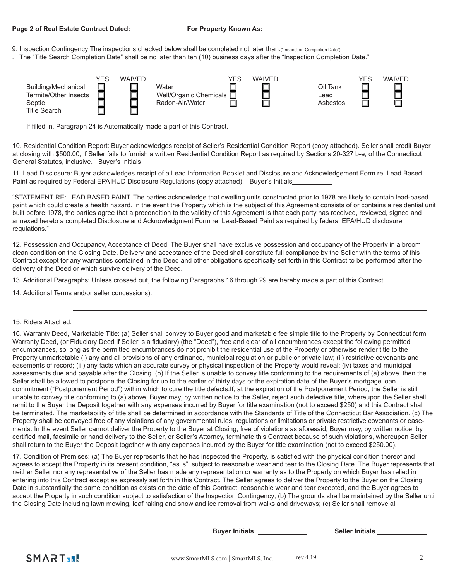- 9. Inspection Contingency: The inspections checked below shall be completed not later than: ("Inspection Completion Date")
- . The "Title Search Completion Date" shall be no later than ten (10) business days after the "Inspection Completion Date."

|                       | <b>YES</b> | <b>WAIVED</b> |                                 | YES | WAIVED |          | YES | <b>WAIVED</b> |
|-----------------------|------------|---------------|---------------------------------|-----|--------|----------|-----|---------------|
| Building/Mechanical   |            |               | Water                           |     |        | Oil Tank |     |               |
| Termite/Other Insects |            |               | Well/Organic Chemicals <b>D</b> |     |        | ∟ead     |     |               |
| Septic                |            |               | Radon-Air/Water                 |     |        | Asbestos |     |               |
| <b>Title Search</b>   |            |               |                                 |     |        |          |     |               |

If filled in, Paragraph 24 is Automatically made a part of this Contract.

10. Residential Condition Report: Buyer acknowledges receipt of Seller's Residential Condition Report (copy attached). Seller shall credit Buyer at closing with \$500.00, if Seller fails to furnish a written Residential Condition Report as required by Sections 20-327 b-e, of the Connecticut General Statutes, inclusive. Buyer's Initials

11. Lead Disclosure: Buyer acknowledges receipt of a Lead Information Booklet and Disclosure and Acknowledgement Form re: Lead Based Paint as required by Federal EPA HUD Disclosure Regulations (copy attached). Buyer's Initials

"STATEMENT RE: LEAD BASED PAINT. The parties acknowledge that dwelling units constructed prior to 1978 are likely to contain lead-based paint which could create a health hazard. In the event the Property which is the subject of this Agreement consists of or contains a residential unit built before 1978, the parties agree that a precondition to the validity of this Agreement is that each party has received, reviewed, signed and annexed hereto a completed Disclosure and Acknowledgment Form re: Lead-Based Paint as required by federal EPA/HUD disclosure regulations."

12. Possession and Occupancy, Acceptance of Deed: The Buyer shall have exclusive possession and occupancy of the Property in a broom clean condition on the Closing Date. Delivery and acceptance of the Deed shall constitute full compliance by the Seller with the terms of this Contract except for any warranties contained in the Deed and other obligations specifically set forth in this Contract to be performed after the delivery of the Deed or which survive delivery of the Deed.

13. Additional Paragraphs: Unless crossed out, the following Paragraphs 16 through 29 are hereby made a part of this Contract.

14. Additional Terms and/or seller concessions):

16. Warranty Deed, Marketable Title: (a) Seller shall convey to Buyer good and marketable fee simple title to the Property by Connecticut form Warranty Deed, (or Fiduciary Deed if Seller is a fiduciary) (the "Deed"), free and clear of all encumbrances except the following permitted encumbrances, so long as the permitted encumbrances do not prohibit the residential use of the Property or otherwise render title to the Property unmarketable (i) any and all provisions of any ordinance, municipal regulation or public or private law; (ii) restrictive covenants and easements of record; (iii) any facts which an accurate survey or physical inspection of the Property would reveal; (iv) taxes and municipal assessments due and payable after the Closing. (b) If the Seller is unable to convey title conforming to the requirements of (a) above, then the Seller shall be allowed to postpone the Closing for up to the earlier of thirty days or the expiration date of the Buyer's mortgage loan commitment ("Postponement Period") within which to cure the title defects.If, at the expiration of the Postponement Period, the Seller is still unable to convey title conforming to (a) above, Buyer may, by written notice to the Seller, reject such defective title, whereupon the Seller shall remit to the Buyer the Deposit together with any expenses incurred by Buyer for title examination (not to exceed \$250) and this Contract shall be terminated. The marketability of title shall be determined in accordance with the Standards of Title of the Connecticut Bar Association. (c) The Property shall be conveyed free of any violations of any governmental rules, regulations or limitations or private restrictive covenants or easements. In the event Seller cannot deliver the Property to the Buyer at Closing, free of violations as aforesaid, Buyer may, by written notice, by certified mail, facsimile or hand delivery to the Seller, or Seller's Attorney, terminate this Contract because of such violations, whereupon Seller shall return to the Buyer the Deposit together with any expenses incurred by the Buyer for title examination (not to exceed \$250.00).

17. Condition of Premises: (a) The Buyer represents that he has inspected the Property, is satisfied with the physical condition thereof and agrees to accept the Property in its present condition, "as is", subject to reasonable wear and tear to the Closing Date. The Buyer represents that neither Seller nor any representative of the Seller has made any representation or warranty as to the Property on which Buyer has relied in entering into this Contract except as expressly set forth in this Contract. The Seller agrees to deliver the Property to the Buyer on the Closing Date in substantially the same condition as exists on the date of this Contract, reasonable wear and tear excepted, and the Buyer agrees to accept the Property in such condition subject to satisfaction of the Inspection Contingency; (b) The grounds shall be maintained by the Seller until the Closing Date including lawn mowing, leaf raking and snow and ice removal from walks and driveways; (c) Seller shall remove all

**Buyer Initials Seller Initials** 



<sup>15.</sup> Riders Attached: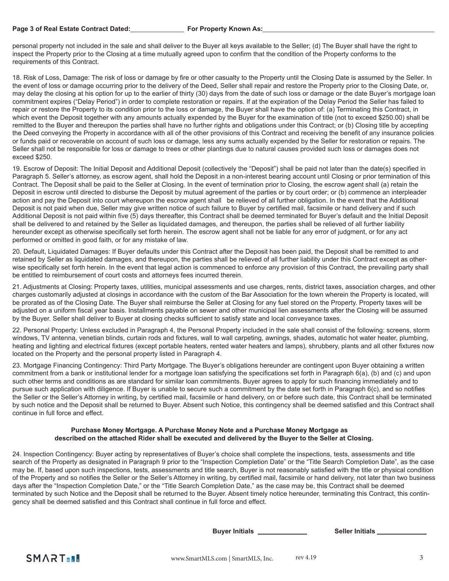personal property not included in the sale and shall deliver to the Buyer all keys available to the Seller; (d) The Buyer shall have the right to inspect the Property prior to the Closing at a time mutually agreed upon to confirm that the condition of the Property conforms to the requirements of this Contract.

18. Risk of Loss, Damage: The risk of loss or damage by fire or other casualty to the Property until the Closing Date is assumed by the Seller. In the event of loss or damage occurring prior to the delivery of the Deed, Seller shall repair and restore the Property prior to the Closing Date, or, may delay the closing at his option for up to the earlier of thirty (30) days from the date of such loss or damage or the date Buyer's mortgage loan commitment expires ("Delay Period") in order to complete restoration or repairs. If at the expiration of the Delay Period the Seller has failed to repair or restore the Property to its condition prior to the loss or damage, the Buyer shall have the option of: (a) Terminating this Contract, in which event the Deposit together with any amounts actually expended by the Buyer for the examination of title (not to exceed \$250.00) shall be remitted to the Buyer and thereupon the parties shall have no further rights and obligations under this Contract; or (b) Closing title by accepting the Deed conveying the Property in accordance with all of the other provisions of this Contract and receiving the benefit of any insurance policies or funds paid or recoverable on account of such loss or damage, less any sums actually expended by the Seller for restoration or repairs. The Seller shall not be responsible for loss or damage to trees or other plantings due to natural causes provided such loss or damages does not exceed \$250.

19. Escrow of Deposit: The Initial Deposit and Additional Deposit (collectively the "Deposit") shall be paid not later than the date(s) specified in Paragraph 5. Seller's attorney, as escrow agent, shall hold the Deposit in a non-interest bearing account until Closing or prior termination of this Contract. The Deposit shall be paid to the Seller at Closing. In the event of termination prior to Closing, the escrow agent shall (a) retain the Deposit in escrow until directed to disburse the Deposit by mutual agreement of the parties or by court order; or (b) commence an interpleader action and pay the Deposit into court whereupon the escrow agent shall be relieved of all further obligation. In the event that the Additional Deposit is not paid when due, Seller may give written notice of such failure to Buyer by certified mail, facsimile or hand delivery and if such Additional Deposit is not paid within five (5) days thereafter, this Contract shall be deemed terminated for Buyer's default and the Initial Deposit shall be delivered to and retained by the Seller as liquidated damages, and thereupon, the parties shall be relieved of all further liability hereunder except as otherwise specifically set forth herein. The escrow agent shall not be liable for any error of judgment, or for any act performed or omitted in good faith, or for any mistake of law.

20. Default, Liquidated Damages: If Buyer defaults under this Contract after the Deposit has been paid, the Deposit shall be remitted to and retained by Seller as liquidated damages, and thereupon, the parties shall be relieved of all further liability under this Contract except as otherwise specifically set forth herein. In the event that legal action is commenced to enforce any provision of this Contract, the prevailing party shall be entitled to reimbursement of court costs and attorneys fees incurred therein.

21. Adjustments at Closing: Property taxes, utilities, municipal assessments and use charges, rents, district taxes, association charges, and other charges customarily adjusted at closings in accordance with the custom of the Bar Association for the town wherein the Property is located, will be prorated as of the Closing Date. The Buyer shall reimburse the Seller at Closing for any fuel stored on the Property. Property taxes will be adjusted on a uniform fiscal year basis. Installments payable on sewer and other municipal lien assessments after the Closing will be assumed by the Buyer. Seller shall deliver to Buyer at closing checks sufficient to satisfy state and local conveyance taxes.

22. Personal Property: Unless excluded in Paragraph 4, the Personal Property included in the sale shall consist of the following: screens, storm windows, TV antenna, venetian blinds, curtain rods and fixtures, wall to wall carpeting, awnings, shades, automatic hot water heater, plumbing, heating and lighting and electrical fixtures (except portable heaters, rented water heaters and lamps), shrubbery, plants and all other fixtures now located on the Property and the personal property listed in Paragraph 4.

23. Mortgage Financing Contingency: Third Party Mortgage. The Buyer's obligations hereunder are contingent upon Buyer obtaining a written commitment from a bank or institutional lender for a mortgage loan satisfying the specifications set forth in Paragraph 6(a), (b) and (c) and upon such other terms and conditions as are standard for similar loan commitments. Buyer agrees to apply for such financing immediately and to pursue such application with diligence. If Buyer is unable to secure such a commitment by the date set forth in Paragraph 6(c), and so notifies the Seller or the Seller's Attorney in writing, by certified mail, facsimile or hand delivery, on or before such date, this Contract shall be terminated by such notice and the Deposit shall be returned to Buyer. Absent such Notice, this contingency shall be deemed satisfied and this Contract shall continue in full force and effect.

## **Purchase Money Mortgage. A Purchase Money Note and a Purchase Money Mortgage as described on the attached Rider shall be executed and delivered by the Buyer to the Seller at Closing.**

24. Inspection Contingency: Buyer acting by representatives of Buyer's choice shall complete the inspections, tests, assessments and title search of the Property as designated in Paragraph 9 prior to the "Inspection Completion Date" or the "Title Search Completion Date", as the case may be. If, based upon such inspections, tests, assessments and title search, Buyer is not reasonably satisfied with the title or physical condition of the Property and so notifies the Seller or the Seller's Attorney in writing, by certified mail, facsimile or hand delivery, not later than two business days after the "Inspection Completion Date," or the "Title Search Completion Date," as the case may be, this Contract shall be deemed terminated by such Notice and the Deposit shall be returned to the Buyer. Absent timely notice hereunder, terminating this Contract, this contingency shall be deemed satisfied and this Contract shall continue in full force and effect.

**Buyer Initials Seller Initials**